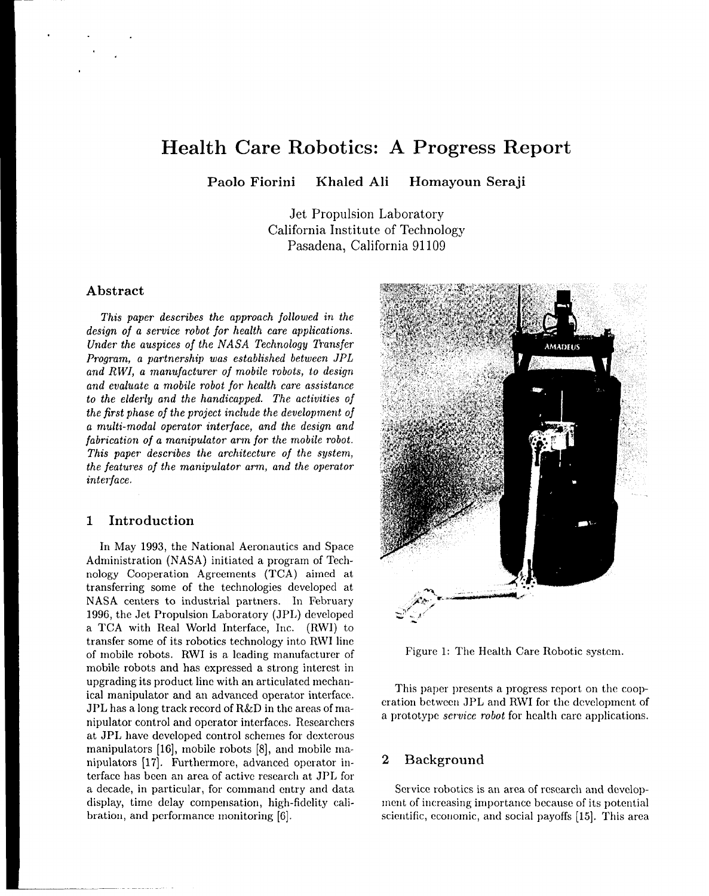# **Health Care Robotics: A Progress Report**

**Paolo Fiorini Khaled Ali Homayoun Seraji**

Jet Propulsion Laboratory California Institute of Technology Pasadena, California 91109

## **Abstract**

*This paper describes the approach followed in the* design *of a service robot* for *health* care *applications. Under the auspices of the NASA Technology Transfer Program, a partnership was established between JPL and RWI, a manufacturer of mobile robots, to design and* evaluate a *mobile robot for health care assistance to the elderly and the handicapped. The activities of the first phase of the project include the development of* a *mu!ti-modal operator interface,* and *the design and fabrication of a manipulator* arm for *the mobile robot. This* paper *describes the architecture of the system, the features of the manipulator arm, and the operator interface.*

## **1 Introduction**

In May 1993, the National Aeronautics and Space Administration (NASA) initiated a program of Technology Cooperation Agreements (TCA) aimed at transferring some of the technologies developed at NASA centers to industrial partners. In February 1996, the Jet Propulsion Laboratory (JPL) developed a TCA with Real World Interface, Inc. (RWI) to transfer some of its robotics technology into RW1 line of mobile robots. RWI is a leading manufacturer of mobile robots and has expressed a strong interest in upgrading its product line with an articulated mechanical manipulator and an advanced operator interface, JPL has a long track record of R&D in the areas of manipulator control and operator interfaces. Researchers at JPL have developed control schemes for dexterous manipulators  $[16]$ , mobile robots  $[8]$ , and mobile manipulators [17]. Furthermore, advanced operator interface has been an area of active research at JPL for a decade, in particular, for command entry and data display, time delay compensation, high-fidelity calibration, and performance monitoring [6].



Figure 1: The Health Care Robotic system.

This paper presents a progress report on the cooperation between JPL and RW1 for the dcwelopment of a prototype *service robot* for health care applications.

## **2 Background**

Service robotics is an area of research and development of increasing importance because of its potential scientific, economic, and social payoffs [15]. This area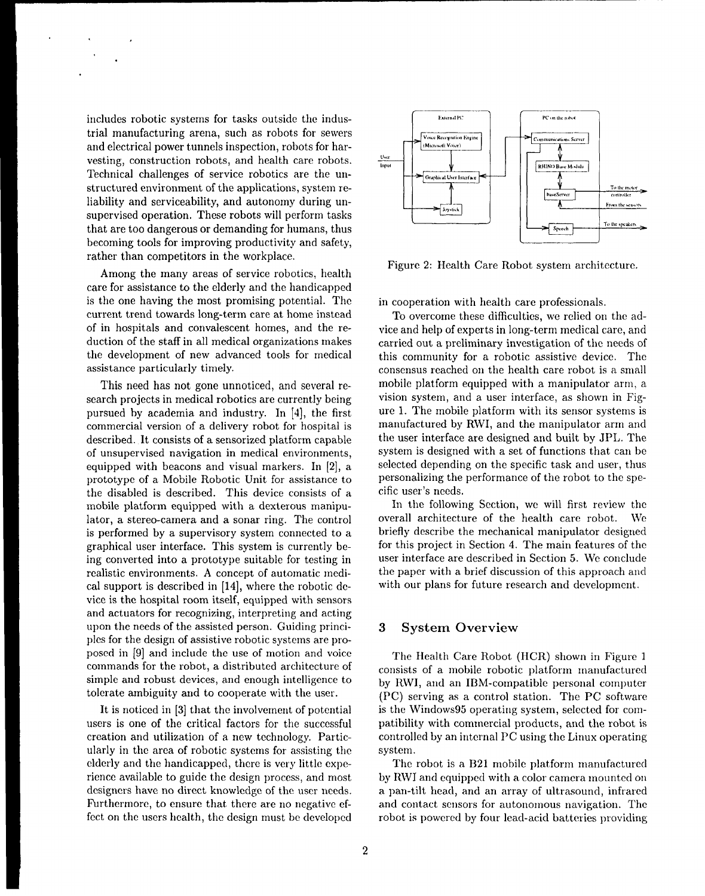includes robotic systems for tasks outside the industrial manufacturing arena, such as robots for sewers and electrical power tunnels inspection, robots for harvesting, construction robots, and health care robots. Technical challenges of service robotics are the unstructured environment of the applications, system reliability and serviceability, and autonomy during unsupervised operation. These robots will perform tasks that are too dangerous or demanding for humans, thus becoming tools for improving productivity and safety, rather than competitors in the workplace,

Among the many areas of service robotics, health care for assistance to the elderly and the handicapped is the one having the most promising potential. The current trend towards long-term care at home instead of in hospitals and convalescent homes, and the reduction of the staff in all medical organizations makes the development of new advanced tools for medical assistance particularly timely.

This need has not gone unnoticed, and several research projects in medical robotics are currently being pursued by academia and industry. In [4], the first commercial version of a delivery robot for hospital is described. It consists of a sensorized platform capable of unsupervised navigation in medical environments, equipped with beacons and visual markers. In [2], a prototype of a Mobile Robotic Unit for assistance to the disabled is described. This device consists of a mobile platform equipped with a dexterous manipulator, a stereo-camera and a sonar ring. The control is performed by a supervisory system connected to a graphical user interface. This system is currently being converted into a prototype suitable for testing in realistic environments. A concept of automatic medical support is described in [14], where the robotic device is the hospital room itself, equipped with sensors and actuators for recognizing, interpreting and acting upon the needs of the assisted person. Guiding principles for the design of assistive robotic systems are proposed in [9] and include the use of motion and voice commands for the robot, a distributed architecture of simple and robust devices, and enough intelligence to tolerate ambiguity and to cooperate with the user.

It is noticed in [3] that the involvement of potential users is one of the critical factors for the successful creation and utilization of a new technology. Particularly in the area of robotic systems for assisting the elderly and the handicapped, there is very little experience available to guide the design process, and most designers have no direct knowledge of the user needs. Furthermore, to ensure that there are no negative effect on the users health, the design must be developed



Figure 2: Health Care Robot system architecture,

in cooperation with health care professionals.

To overcome these difficulties, we relied on the advice and help of experts in long-term medical care, and carried out a preliminary investigation of the needs of this community for a robotic assistive device. The consensus reached on the health care robot is a small mobile platform equipped with a manipulator arm, a vision system, and a user interface, as shown in Figure 1. The mobile platform with its sensor systems is manufactured by RWI, and the manipulator arm and the user interface are designed and built by JPL. The system is designed with a set of functions that can be selected depending on the specific task and user, thus personalizing the performance of the robot to the specific user's needs.

In the following Section, we will first review the overall architecture of the health care robot. We briefly describe the mechanical manipulator designed for this project in Section 4. The main features of the user interface are described in Section 5. We conclude the paper with a brief discussion of this approach and with our plans for future research and developme:

#### *3* **System Overview**

The Health Care Robot (HCR) shown in Figure 1 consists of a mobile robotic platform manufactured by RWI, and an IBM-compatible personal computer (PC) serving as a control station. The PC software is the Windows95 operating system, selected for compatibility with commercial products, and the robot is controlled by an internal PC using the Linux operating system.

The robot is a B21 mobile platform manufactured by RWI and equipped with a color camera mounted on a pan-tilt head, and an array of ultrasound, infrared and contact sensors for autonomous navigation. The robot is powered by four lead-acid batteries providing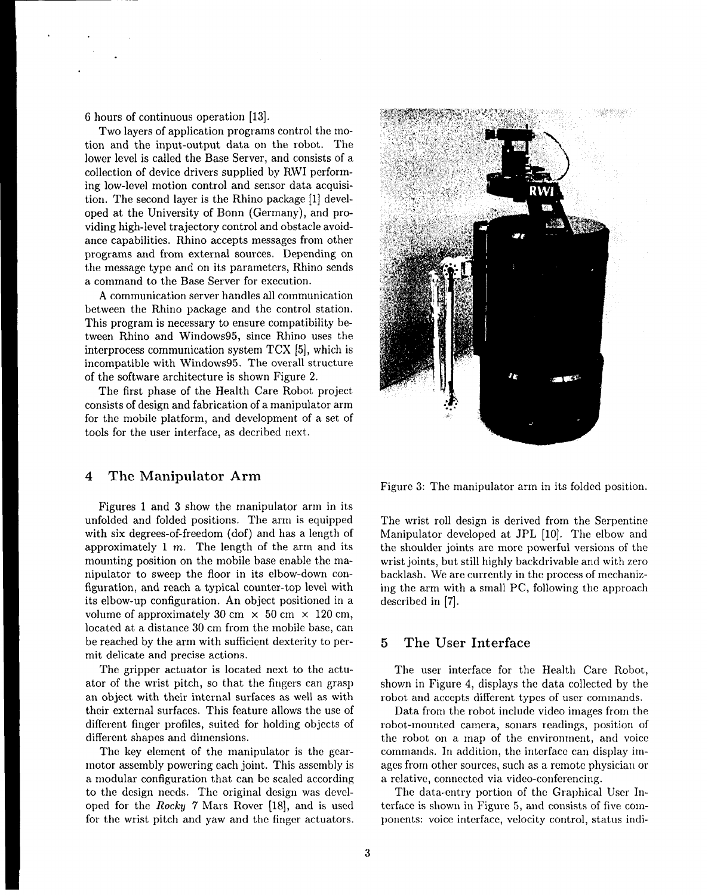6 hours of continuous operation [13].

Two layers of application programs control the motion and the input-output data on the robot. The lower level is called the Base Server, and consists of a collection of device drivers supplied by RWI performing low-level motion control and sensor data acquisition, The second layer is the Rhino package [1] developed at the University of Bonn (Germany), and providing high-level trajectory control and obstacle avoidance capabilities. Rhino accepts messages from other programs and from external sources. Depending on the message type and on its parameters, Rhino sends a command to the Base Server for execution.

A communication server handles all communication between the Rhino package and the control station. This program is necessary to ensure compatibility between Rhino and Windows95, since Rhino uses the interprocess communication system TCX [5], which is incompatible with Windows95. The overall structure of the software architecture is shown Figure 2.

The first phase of the Health Care Robot project consists of design and fabrication of a manipulator arm for the mobile platform, and development of a set of tools for the user interface, as decribed next.

# *4* **The Manipulator Arm**

Figures 1 and 3 show the manipulator arm in its unfolded and folded positions. The arm is equipped with six degrees-of-freedom (dof) and has a length of approximately  $1 \, m$ . The length of the arm and its mounting position on the mobile base enable the manipulator to sweep the floor in its elbow-down configuration, and reach a typical counter-top level with its elbow-up configuration. An object positioned in a volume of approximately 30 cm  $\times$  50 cm  $\times$  120 cm, located at a distance 30 cm from the mobile base, can be reached by the arm with sufficient dexterity to permit delicate and precise actions.

The gripper actuator is located next to the actuator of the wrist pitch, so that the fingers can grasp an object with their internal surfaces as well as with their external surfaces. This feature allows the use of different finger profiles, suited for holding objects of different shapes and dimensions.

The key element of the manipulator is the gearmotor assembly powering each joint. This assembly is a modular configuration that can be scaled according to the design needs. The original design was developed for the *Rocky* 7 Mars Rover [18], and is used for the wrist pitch and yaw and the finger actuators.



Figure 3: The manipulator arm in its folded position.

The wrist roll design is derived from the Serpentine Manipulator developed at JPL [10]. The elbow and the shoulder joints are more powerful versions of the wrist joints, but still highly backdrivable and with zero backlash. We are currently in the process of mechanizing the arm with a small PC, following the approach described in [7].

# **5 The User Interface**

The user interface for the Health Care Robot, shown in Figure 4, displays the data collected by the robot and accepts different types of user commands.

Data from the robot include video images from the robot-mounted camera, sonars readings, position of the robot on a map of the environment, and voice commands. In addition, the interface can display imagcs from other sources, such as a rcrnote physician or a relative, connected via video-conferencing.

The data-entry portion of the Graphical User Interface is shown in Figure 5, and consists of five components: voice interface, velocity control, status indi-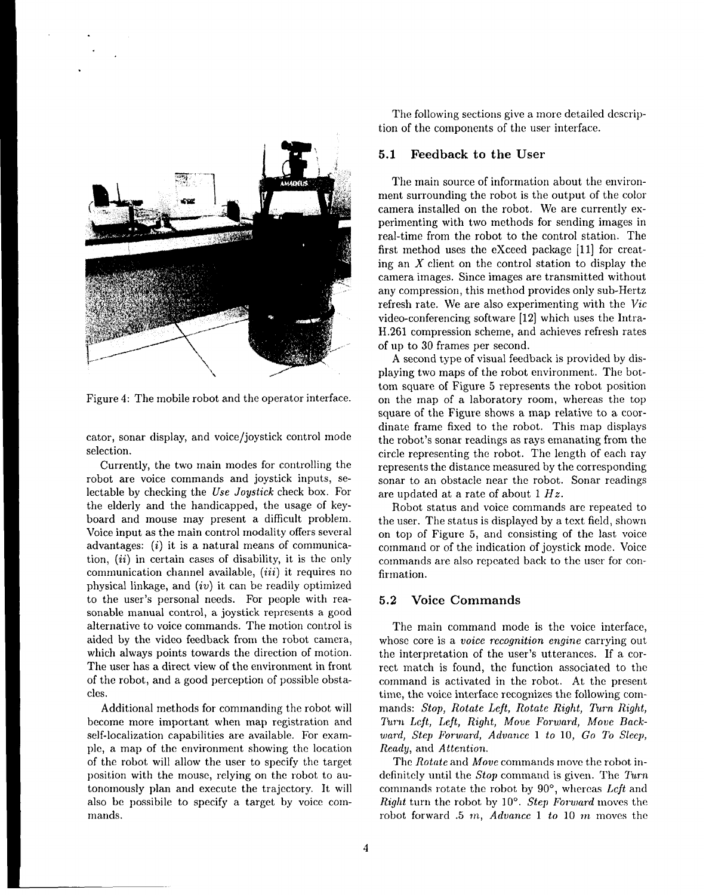

Figure 4: The mobile robot and the operator interface.

cater, sonar display, and voice/joystick control mode selection.

Currently, the two main modes for controlling the robot are voice commands and joystick inputs, selectable by checking the *Use Joystick* check box. For the elderly and the handicapped, the usage of keyboard and mouse may present a difficult problem. Voice input as the main control modality offers several advantages:  $(i)$  it is a natural means of communication, *(ii)* in certain cases of disability, it is the only communication channel available,  $(iii)$  it requires no physical linkage, and  $(iv)$  it can be readily optimized to the user's personal needs. For people with reasonable manual control, a joystick represents a good alternative to voice commands. The motion control is aided by the video feedback from the robot camera, which always points towards the direction of motion. The user has a direct view of the environment in front of the robot, and a good perception of possible obsta-Cles.

Additional methods for commanding the robot will become more important when map registration and self-localization capabilities are available. For example, a map of the environment showing the location of the robot will allow the user to specify the target position with the mouse, relying on the robot to autonomously plan and execute the trajectory. It will also be possibile to specify a target by voice commands.

The following sections give a more detailed description of the components of the user interface.

#### 5.1 **Feedback to the User**

The main source of information about the environment surrounding the robot is the output of the color camera installed on the robot. We are currently experimenting with two methods for sending images in real-time from the robot to the control station. The first method uses the eXceed package [11] for creating an  $X$  client on the control station to display the camera images. Since images are transmitted without any compression, this method provides only sub-Hertz refresh rate. We are also experimenting with the Vic video-conferencing software [12] which uses the Intra-H .261 compression scheme, and achieves refresh rates of up to 30 frames per second.

A second type of visual feedback is provided by displaying two maps of the robot environment. The bottom square of Figure 5 represents the robot position on the map of a laboratory room, whereas the top square of the Figure shows a map relative to a coordinate frame fixed to the robot. This map displays the robot's sonar readings as rays emanating from the circle representing the robot. The length of each ray represents the distance measured by the corresponding sonar to an obstacle near the robot. Sonar readings are updated at a rate of about 1 *Hz.*

Robot status and voice commands are repeated to the user. The status is displayed by a text field, shown on top of Figure 5, and consisting of the last voice command or of the indication of joystick mode. Voice commands are also repeated back to the user for confirmation.

## *5.2* **Voice Commands**

The main command mode is the voice interface, whose core is a voice *recognition engine* carrying out the interpretation of the user's utterances. If a correct match is found, the function associated to the command is activated in the robot. At the present time, the voice interface recognizes the following commands: *Stop, Rotate Lcjt, Rotate Right, Turn Right,* Turn *Left, Left, Rig}it, Move Forward, Move Backward, Step Forward, Advance* 1 *to* 10, Go *To Sleep, Ready,* and *Attention.*

The *Rotate* and *Move* commands move the robot indefinitely until the *Stop* command is given. The *Turn* commands rotate the robot by 90°, whereas *Left* and *Right* turn the robot by 10°. *Step Forward* moves the robot forward .5 *my Aduancc 1 to* 10 m moves the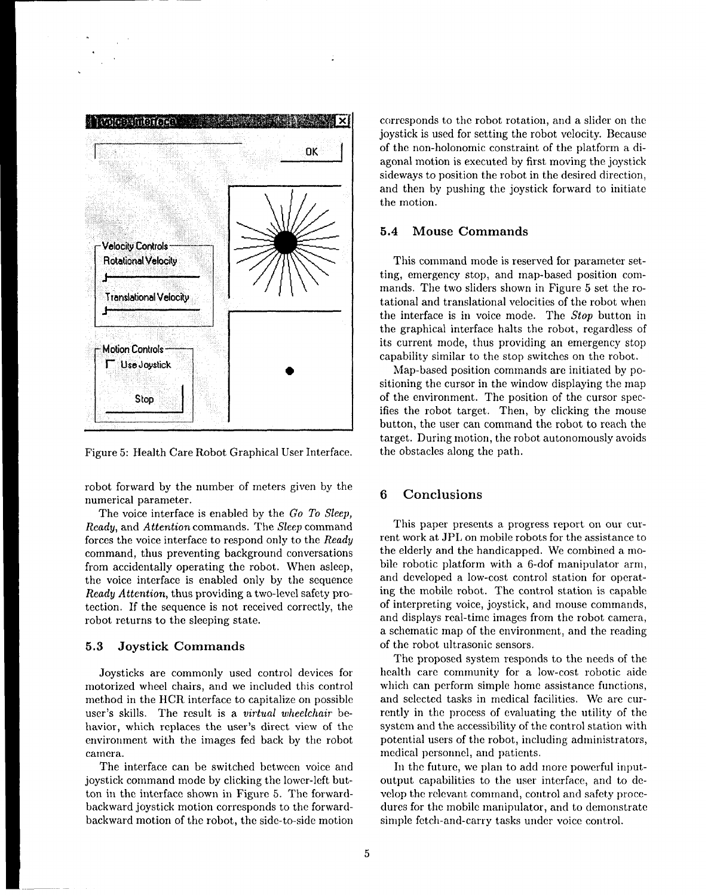

.

Figure 5: Health Care Robot Graphical User Interface.

robot forward by the number of meters given by the numerical parameter.

The voice interface is enabled by the Go *To Sleep, Ready,* and *Attention* commands. The *Sleep* command forces the voice interface to respond only to the *Ready* command, thus preventing background conversations from accidentally operating the robot. When asleep, the voice interface is enabled only by the sequence *Ready Attention,* thus providing a two-level safety protection. If the sequence is not received correctly, the robot returns to the sleeping state.

#### 5.3 Joystick **Commands**

Joysticks are commonly used control devices for motorized wheel chairs, and we included this control method in the HCR interface to capitalize on possible user's skills. The result is a virtual *wheelchair* behavior, which replaces the user's direct view of the environment with the images fed back by the robot camera.

The interface can be switched between voice and joystick command mode by clicking the lower-left button in the interface shown in Figure 5. The forwardbackward joystick motion corresponds to the forwardbackward motion of the robot, the side-to-side motion corresponds to the robot rotation, and a slider on the joystick is used for setting the robot velocity. Because of the non-holonomic constraint of the platform a diagonal motion is executed by first moving the joystick sideways to position the robot in the desired direction, and then by pushing the joystick forward to initiate the motion.

#### 5.4 **Mouse Commands**

This command mode is reserved for parameter setting, emergency stop, and map-based position commands. The two sliders shown in Figure 5 set the rotational and translational velocities of the robot when the interface is in voice mode. The Stop button in the graphical interface halts the robot, regardless of its current mode, thus providing an emergency stop capability similar to the stop switches on the robot.

Map-based position commands are initiated by positioning the cursor in the window displaying the map of the environment. The position of the cursor specifies the robot target. Then, by clicking the mouse button, the user can command the robot to reach the target. During motion, the robot autonomously avoids the obstacles along the path.

# **6 Conclusions**

This paper presents a progress report on our current work at JPL on mobile robots for the assistance to the elderly and the handicapped. We combined a mobile robotic platform with a 6-dof manipulator arm, and developed a low-cost control station for operating the mobile robot. The control station is capable of interpreting voice, joystick, and mouse commands, and displays real-time images from the robot camera, a schematic map of the environment, and the reading of the robot ultrasonic sensors.

The proposed system responds to the needs of the health care community for a low-cost robotic aide which can perform simple home assistance functions, and selected tasks in medical facilities. We are currently in the process of evaluating the utility of the system and the accessibility of the control station with potential users of the robot, including administrators, medical personnel, and patients.

In the future, we plan to add more powerful inputoutput capabilities to the user interface, and to develop the relevant command, control and safety procedures for the mobile manipulator, and to demonstrate simple fetch-and-carry tasks under voice control.